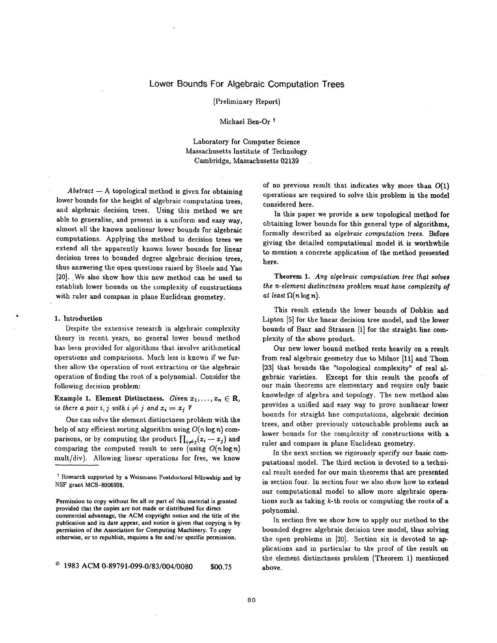# **Lower Bounds For Algebraic Computation Trees**

(Preliminary Report)

Michael Ben-Or<sup>t</sup>

Laboratory for Computer Science Massachusetts Institute of Technology Cambridge, Massachusetts 02139

 $Abstract - A topological method$  is given for obtaining lower bounds for the height of algebraic computation trees, and algebraic decision trees. Using this method we are able to generalize, and present in a uniform and easy way, almost all the known nonlinear lower bounds for algebraic computations. Applying the method to decision trees we extend all the apparently known lower bounds for linear decision trees to bounded degree algebraic decision trees, thus answering the open questions raised by Steele and Yao [20]. We also show how this new method can be used to establish lower bounds on the complexity of constructions with ruler and compass in plane Euclidean geometry.

#### 1, Introduction

Despite the extensive research in algebraic complexity theory in recent years, no general lower bound method has been provided for algorithms that involve arithmetical operations and comparisons. Much less is known if we further allow the operation of root extraction or the algebraic operation of finding the root of a polynomial. Consider the following decision problem:

Example 1. Element Distinctness. *Given*  $x_1, \ldots, x_n \in \mathbb{R}$ , *is there a pair i, j with*  $i \neq j$  *and*  $x_i = x_j$ *?* 

One can solve the element distinctness problem with the help of any efficient sorting algorithm using *O(n* log n) comparisons, or by computing the product  $\prod_{i\neq j}(x_i - x_j)$  and comparing the computed result to zero (using *O(nlogn)*  mult/div). Allowing linear operations for free, we know of no previous result that indicates why more than  $O(1)$ operations are required to solve this problem in the model considered here.

In this paper we provide a new topological method for obtaining lower bounds for this general type of algorithms, formally described as *algebraic computation trees.* Before giving the detailed computational model it is worthwhile to mention a concrete application of the method presented here.

Theorem 1. *Any algebraic computation tree that solves the n-element distinctness problem must have complezity of at least*  $\Omega(n \log n)$ .

This result extends the lower bounds of Dobkin **and**  Lipton [5] for the linear decision tree model, and the lower bounds of Baur and Strassen [1] for the straight line complexity of the above product.

Our new lower bound method rests heavily on a result from real algebraic geometry due to Milnor [11] and Thom [23] that bounds the "topological complexity" of real algebraic varieties. Except for this result the proofs of our main theorems are elementary and require only basic knowledge of algebra and topology. The new method also provides a unified and easy way to prove nonlinear lower bounds for straight line computations, algebraic decision trees, and other previously untouchable problems such as lower bounds for the complexity of constructions with a ruler and compass in plane Euclidean geometry.

In the next section we rigorously specify our basic computational model. The third section is devoted to a technical result needed for our main theorems that are presented in section four. In section four we also show how to extend our computational model to allow more algebraic operations such as taking  $k$ -th roots or computing the roots of a polynomial.

In section five we show how to apply our method to the bounded degree algebraic decision tree model, thus solving the open problems in [20]. Section six is devoted to applications and in particular to the proof of the result on the element distinctness problem (Theorem 1) mentioned above.

t Research supported by a Weizmann Postdoctoral fellowship and by NSF grant MCS-8006938.

Permission to copy without fee all or part of this material is **granted**  provided **that the** copies are not made or distributed for direct commercial advantage, the ACM copyright notice and the title of the publication and its date appear, and notice is given that copying is by permission of the Association for Computing Machinery. To copy otherwise, or to republish, requires a fee and/or specific permission.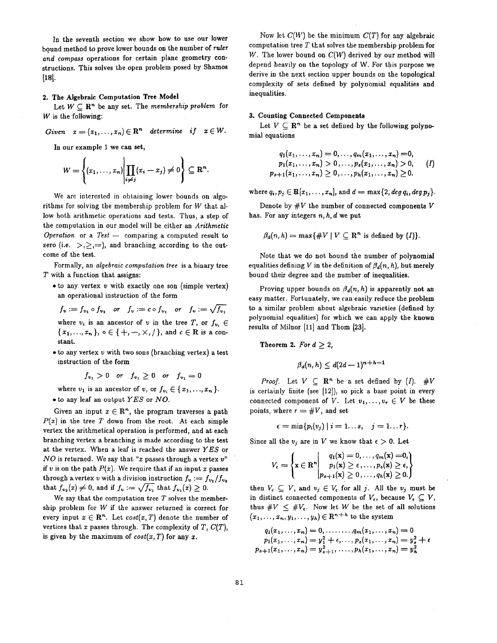In the seventh section we show how to use our lower bound method to prove lower bounds on the number of *ruler and compass* operations for certain plane geometry constructions. This solves the open problem posed by Shamos  $[18]$ .

## 2. The Algebraic Computation Tree Model

Let  $W \subset \mathbb{R}^n$  be any set. The *membership problem* for  $W$  is the following:

Given 
$$
x = (x_1, ..., x_n) \in \mathbb{R}^n
$$
 determine if  $x \in W$ .

In our example 1 we can set,

$$
W=\left\{(x_1,\ldots,x_n)\bigg|\prod_{i\neq j}(x_i-x_j)\neq 0\right\}\subseteq\mathbf{R}^n.
$$

We are interested in obtaining lower bounds on algorithms for solving the membership problem for  $W$  that allow both arithmetic operations and tests. Thus, a step of the computation in our model will be either an *Arithmetic Operation* or a *Test* -- comparing a computed result to zero (i.e.  $>$ , $\geq$ , $=$ ), and branching according to the outcome of the test.

Formally, an *algebraic computation tree* is a binary tree  $T$  with a function that assigns:

 $\bullet$  to any vertex  $v$  with exactly one son (simple vertex) an operational instruction of the form

$$
f_v := f_{v_1} \circ f_{v_2}
$$
 or  $f_v := c \circ f_{v_1}$  or  $f_v := \sqrt{f_{v_1}}$   
where  $v_v$  is an ancestor of  $v$  in the tree  $T$  or  $f$ .

where  $v_i$  is an ancestor of v in the tree T, or  $f_{v_i} \in$  $\{x_1, ..., x_n\}, \, \circ \in \{+, -, \times, /\}, \, \text{and} \, c \in \mathbb{R} \, \text{is a con-}$ stant.

 $\bullet$  to any vertex  $v$  with two sons (branching vertex) a test instruction of the form

$$
f_{v_1} > 0 \quad or \quad f_{v_1} \ge 0 \quad or \quad f_{v_1} = 0
$$

where  $v_1$  is an ancestor of v, or  $f_{v_i} \in \{x_1, \ldots, x_n\}$ . • to any leaf an output *YES* or *NO.* 

Given an input  $x \in \mathbb{R}^n$ , the program traverses a path  $P(x)$  in the tree T down from the root. At each simple vertex the arithmetical operation is performed, and at each branching vertex a branching is made according to the test at the vertex. When a leaf is reached the answer *YES* or  $NO$  is returned. We say that "x passes through a vertex  $v$ " if v is on the path  $P(x)$ . We require that if an input x passes through a vertex v with a division instruction  $f_v := f_{v_1}/f_{v_2}$ that  $f_{v_2}(x) \neq 0$ , and if  $f_v := \sqrt{f_{v_1}}$  that  $f_{v_1}(x) \geq 0$ .

We say that the computation tree  $T$  solves the membership problem for  $W$  if the answer returned is correct for every input  $x \in \mathbb{R}^n$ . Let  $cost(x, T)$  denote the number of vertices that x passes through. The complexity of  $T$ ,  $C(T)$ , is given by the maximum of  $cost(x, T)$  for any x.

Now let  $C(W)$  be the minimum  $C(T)$  for any algebraic computation tree  $T$  that solves the membership problem for W. The lower bound on *C(W)* derived by our method will depend heavily on the topology of W. For this purpose we derive in the next section upper bounds on the topological complexity of sets defined by polynomial equalities and inequalities.

#### 3. Counting **Connected Components**

Let  $V \subseteq \mathbb{R}^n$  be a set defined by the following polynomial equations

$$
q_1(x_1,...,x_n) = 0,..., q_m(x_1,...,x_n) = 0,
$$
  
\n
$$
p_1(x_1,...,x_n) > 0,..., p_s(x_1,...,x_n) > 0,
$$
 (I)  
\n
$$
p_{s+1}(x_1,...,x_n) \ge 0,..., p_h(x_1,...,x_n) \ge 0.
$$

where  $q_i, p_j \in \mathbb{R}[x_1, \ldots, x_n]$ , and  $d = \max\{2, \deg q_i, \deg p_j\}.$ 

Denote by  $\#V$  the number of connected components V has. For any integers *n, h, d* we put

$$
\beta_d(n,h) = \max\{\#V \mid V \subseteq \mathbb{R}^n \text{ is defined by } (I)\}.
$$

Note that we do not bound the number of polynomial equalities defining V in the definition of  $\beta_d(n, h)$ , but merely bound their degree and the number of inequalities.

Proving upper bounds on  $\beta_d(n, h)$  is apparently not an easy matter. Fortunately, we can easily reduce the problem to a similar problem about algebraic varieties (defined by polynomial equalities) for which we can apply the known results of Milnor  $[11]$  and Thom  $[23]$ .

**Theorem 2.** For  $d \geq 2$ ,

$$
\beta_d(n,h) \leq d(2d-1)^{n+h-1}
$$

*Proof.* Let  $V \subset \mathbb{R}^n$  be a set defined by (I). #V is certainly finite (see  $[12]$ ), so pick a base point in every connected component of V. Let  $v_1, \ldots, v_r \in V$  be these points, where  $r = #V$ , and set

$$
\epsilon = \min\{p_i(v_j) \mid i = 1...s, \quad j = 1...r\}.
$$

Since all the  $v_i$  are in V we know that  $\epsilon > 0$ . Let

$$
V_{\epsilon} = \left\{ \mathbf{x} \in \mathbf{R}^{n} \middle| \begin{array}{l} q_{1}(\mathbf{x}) = 0, \ldots, q_{m}(\mathbf{x}) = 0, \\ p_{1}(\mathbf{x}) \geq \epsilon, \ldots, p_{s}(\mathbf{x}) \geq \epsilon, \\ p_{s+1}(\mathbf{x}) \geq 0, \ldots, q_{h}(\mathbf{x}) \geq 0. \end{array} \right\}
$$

then  $V_{\epsilon} \subseteq V$ , and  $v_j \in V_{\epsilon}$  for all j. All the  $v_j$  must be in distinct connected components of  $V_{\epsilon}$ , because  $V_{\epsilon} \subseteq V$ , thus  $\#V \leq \#V_{\epsilon}$ . Now let W be the set of all solutions  $(x_1,...,x_n, y_1,...,y_h) \in \mathbb{R}^{n+h}$  to the system

$$
q_1(x_1,...,x_n) = 0, \dots, q_m(x_1,...,x_n) = 0
$$
  
\n
$$
p_1(x_1,...,x_n) = y_1^2 + \epsilon, \dots, p_s(x_1,...,x_n) = y_s^2 + \epsilon
$$
  
\n
$$
p_{s+1}(x_1,...,x_n) = y_{s+1}^2, \dots, p_h(x_1,...,x_n) = y_h^2
$$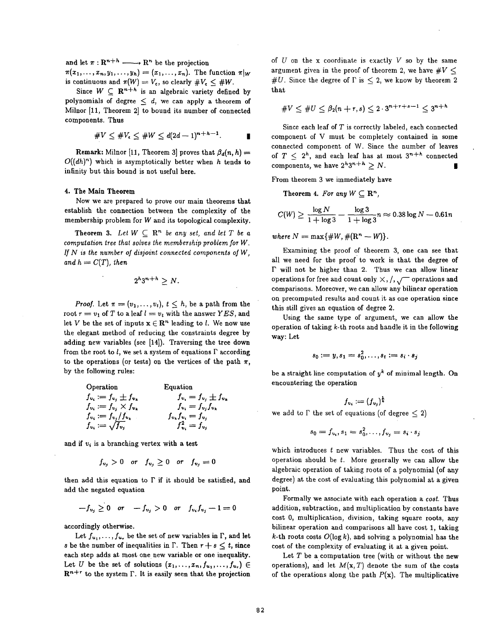and let  $\pi: \mathbb{R}^{n+h} \longrightarrow \mathbb{R}^n$  be the projection

 $\pi(x_1,\ldots,x_n,y_1,\ldots,y_h) = (x_1,\ldots,x_n).$  The function  $\pi|_W$ is continuous and  $\pi(W) = V_{\epsilon}$ , so clearly  $\#V_{\epsilon} \leq \#W$ .

Since  $W \subseteq \mathbb{R}^{n+h}$  is an algebraic variety defined by polynomials of degree  $\leq d$ , we can apply a theorem of Milnor [11, Theorem 2] to bound its number of connected components. Thus

$$
\#V \leq \#V_{\epsilon} \leq \#W \leq d(2d-1)^{n+h-1}.
$$

**Remark:** Milnor [11, Theorem 3] proves that  $\beta_d(n, h) =$  $O((dh)^n)$  which is asymptotically better when h tends to infinity but this bound is not useful here.

## **4. The Main Theorem**

Now we are prepared to prove our main theorems that establish the connection between the complexity of the membership problem for W and its topological complexity.

**Theorem 3.** Let  $W \subset \mathbb{R}^n$  be any set, and let T be a *computation tree that solves the membership problem for W. If N is the number of disjoint connected components of W, and*  $h = C(T)$ *, then* 

$$
2^h3^{n+h} \geq N.
$$

*Proof.* Let  $\pi = (v_1, \ldots, v_t)$ ,  $t \leq h$ , be a path from the root  $r = v_1$  of T to a leaf  $l = v_t$  with the answer *YES*, and let V be the set of inputs  $x \in \mathbb{R}^n$  leading to l. We now use the elegant method of reducing the constraints degree by adding new variables (see [14]). Traversing the tree down from the root to l, we set a system of equations  $\Gamma$  according to the operations (or tests) on the vertices of the path  $\pi$ , by the following rules:

Operation

\n
$$
f_{v_i} := f_{v_j} \pm f_{v_k}
$$
\n
$$
f_{v_i} := f_{v_j} \pm f_{v_k}
$$
\n
$$
f_{v_i} := f_{v_j} \times f_{v_k}
$$
\n
$$
f_{v_i} := f_{v_j} / f_{v_k}
$$
\n
$$
f_{v_i} := \sqrt{f_{v_j}}
$$
\n
$$
f_{v_i} := \sqrt{f_{v_j}}
$$
\n
$$
f_{v_i} = f_{v_j}
$$
\n
$$
f_{v_i}^2 = f_{v_j}
$$

and if  $v_i$  is a branching vertex with a test

$$
f_{v_j} > 0 \quad or \quad f_{v_j} \ge 0 \quad or \quad f_{v_j} = 0
$$

then add this equation to  $\Gamma$  if it should be satisfied, and add the negated equation

$$
-f_{v_j} \geq 0 \quad or \quad -f_{v_j} > 0 \quad or \quad f_{v_i}f_{v_j} - 1 = 0
$$

accordingly otherwise.

Let  $f_{u_1}, \ldots, f_{u_r}$  be the set of new variables in  $\Gamma$ , and let s be the number of inequalities in  $\Gamma$ . Then  $r + s \leq t$ , since each step adds at most one new variable or one inequality. Let U be the set of solutions  $(x_1,...,x_n,f_{u_1},...,f_{u_r}) \in$  $\mathbb{R}^{n+r}$  to the system  $\Gamma$ . It is easily seen that the projection

of  $U$  on the x coordinate is exactly  $V$  so by the same argument given in the proof of theorem 2, we have  $\#V \leq$ #U. Since the degree of  $\Gamma$  is  $\leq 2$ , we know by theorem 2 that

$$
\#V \leq \#U \leq \beta_2(n+r,s) \leq 2 \cdot 3^{n+r+s-1} \leq 3^{n+h}
$$

Since each leaf of  $T$  is correctly labeled, each connected component of V must be completely contained in some connected component of W. Since the number of leaves of  $T \n\leq 2^h$ , and each leaf has at most  $3^{n+h}$  connected components, we have  $2^h3^{n+h} > N$ .

From theorem 3 we immediately have

**Theorem 4.** For any  $W \subset \mathbb{R}^n$ ,

$$
C(W) \ge \frac{\log N}{1 + \log 3} - \frac{\log 3}{1 + \log 3} n \approx 0.38 \log N - 0.61 n
$$

 $where N = max\{\#W, \#(\mathbb{R}^n - W)\}.$ 

Examining the proof of theorem 3, one can see that all we need for the proof to work is that the degree of  $\Gamma$  will not be higher than 2. Thus we can allow linear operations for free and count only  $\times$  ,  $/$  ,  $\sqrt{\phantom{a}}$  operations and comparisons. Moreover, we can allow any bilinear operation on precomputed results and count it as one operation since this still gives an equation of degree 2.

Using the same type of argument, we can allow the operation of taking  $k$ -th roots and handle it in the following way: Let

$$
s_0:=y, s_1=s_0^2,\ldots,s_t:=s_i\cdot s_j
$$

be a straight line computation of  $y^k$  of minimal length. On encountering the operation

$$
f_{v_i} := (f_{v_j})^{\frac{1}{k}}
$$
  
we add to  $\Gamma$  the set of equations (of degree  $\leq 2$ )

$$
s_0 = f_{v_i}, s_1 = s_0^2, \ldots, f_{v_j} = s_i \cdot s_j
$$

which introduces t new variables. Thus the cost of this operation should be  $t$ . More generally we can allow the algebraic operation of taking roots of a polynomial (of any degree) at the cost of evaluating this polynomial at a given point.

Formally we associate with each operation a *cost.* Thus addition, subtraction, and multiplication by constants have cost 0, multiplication, division, taking square roots, any bilinear operation and comparisons all have cost 1, taking  $k$ -th roots costs  $O(\log k)$ , and solving a polynomial has the cost of the complexity of evaluating it at a given point.

Let  $T$  be a computation tree (with or without the new operations), and let  $M(x, T)$  denote the sum of the costs of the operations along the path  $P(x)$ . The multiplicative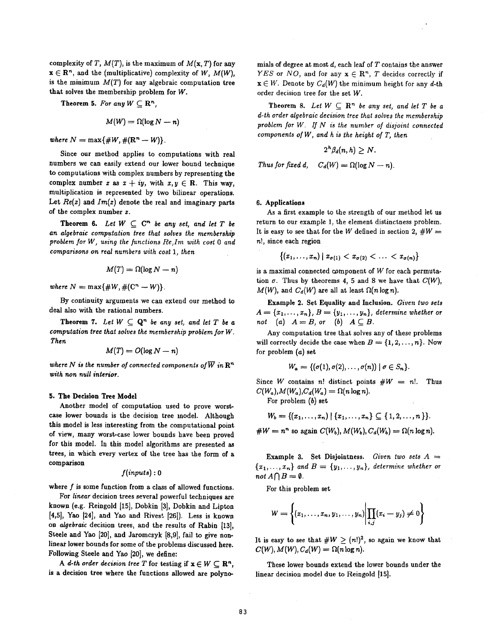complexity of *T*,  $M(T)$ , is the maximum of  $M(x, T)$  for any  $x \in \mathbb{R}^n$ , and the (multiplicative) complexity of W,  $M(W)$ . is the minimum  $M(T)$  for any algebraic computation tree that solves the membership problem for W.

**Theorem 5.** For any  $W \subset \mathbb{R}^n$ ,

$$
M(W) = \Omega(\log N - n)
$$

*where*  $N = \max\{ \#W, \#(\mathbb{R}^n - W) \}.$ 

Since our method applies to computations with real numbers we can easily extend our lower bound technique to computations with complex numbers by representing the complex number *z* as  $x + iy$ , with  $x, y \in \mathbb{R}$ . This way, multiplication is represented by two bilinear operations. Let  $Re(z)$  and  $Im(z)$  denote the real and imaginary parts of the complex number z.

**Theorem 6.** *Let*  $W \subseteq C^n$  *be any set, and let*  $T$  *be an algebraic computation tree that solves the membership problem for W, using the functions Re,Ira with cost 0 and comparisons on real numbers with cost 1, then* 

$$
M(T) = \Omega(\log N - n)
$$

*where*  $N = \max\{ \#W, \#(\mathbb{C}^n - W) \}.$ 

By continuity arguments we can extend our method to deal also with the rational numbers.

**Theorem 7.** Let  $W \subseteq \mathbf{Q}^n$  be any set, and let T be a *computation tree that solves the membership problem for W. Then* 

$$
M(T) = O(\log N - n)
$$

where N is the number of connected components of  $\overline{W}$  in  $\mathbb{R}^n$ *with non null interior.* 

#### **5. The Decision Tree Model**

Another model of computation used to prove worstcase lower bounds is the decision tree model. Although this model is less interesting from the computational point of view, many worst-ease lower bounds have been proved for this model. In this model algorithms are presented as trees, in which every vertex of the tree has the form of a comparison

$$
f(\mathit{inputs}) : 0
$$

where  $f$  is some function from a class of allowed functions.

For *linear* decision trees several powerful techniques are known (e.g. Reingold [15], Dobkin [3], Dobkin and Lipton **[4,5], Yao [24], and Yao and Rivest [26]). Less is known**  on *algebraic* decision trees, and the results of Rabin [13], Steele and Yao [20], and Jaromczyk [8,9], fail to give nonlinear lower bounds for some of the problems discussed here. Following Steele and Yao [20], we define:

*A d-th order decision tree T* for testing if  $x \in W \subset \mathbb{R}^n$ , is a decision tree where the functions allowed are polynomials of degree at most  $d$ , each leaf of  $T$  contains the answer *YES* or *NO*, and for any  $x \in \mathbb{R}^n$ , *T* decides correctly if  $\mathbf{x} \in W$ . Denote by  $C_d(W)$  the minimum height for any d-th order decision tree for the set W.

Theorem 8. Let  $W \subseteq \mathbb{R}^n$  be any set, and let T be a *d-th order algebraic decision tree that solves the membership problem for W. If N is the number of disjoint connected components of W, and h is the height of T, then* 

$$
2^{h} \beta_{d}(n,h) \geq N.
$$

*Thus for fixed d,*  $C_d(W) = \Omega(\log N - n)$ .

#### **6. Applications**

As a first example to the strength of our method let us return to our example 1, the element distinctness problem. It is easy to see that for the W defined in section 2,  $\#W =$ n!, since each region

$$
\{(x_1,\ldots,x_n)\mid x_{\sigma(1)}
$$

is a maximal connected component of  $W$  for each permutation  $\sigma$ . Thus by theorems 4, 5 and 8 we have that  $C(W)$ ,  $M(W)$ , and  $C_d(W)$  are all at least  $\Omega(n \log n)$ .

Example 2. Set Equality and Inclusion. *Given two sets*   $A = \{x_1, \ldots, x_n\}, B = \{y_1, \ldots, y_n\},$  determine whether or *not* (a)  $A = B$ , or (b)  $A \subseteq B$ .

Any computation tree that solves any of these problems will correctly decide the case when  $B = \{1, 2, ..., n\}$ . Now for problem (a) set

$$
W_a = \{(\sigma(1), \sigma(2), \ldots, \sigma(n)) \mid \sigma \in S_n\}.
$$

Since W contains n! distinct points  $\#W = n!$ . Thus  $C(W_a)$ ,  $M(W_a)$ ,  $C_d(W_a) = \Omega(n \log n)$ .

For problem (b) set

$$
W_b = \{(x_1, \ldots, x_n) \mid \{x_1, \ldots, x_n\} \subseteq \{1, 2, \ldots, n\}\}.
$$

 $\#W = n^n$  so again  $C(W_b)$ ,  $M(W_b)$ ,  $C_d(W_b) = \Omega(n \log n)$ .

Example 3, Set Disjointness. *Given two sets A =*   ${x_1,...,x_n}$  and  $B = {y_1,...,y_n}$ , determine whether or *not*  $A \cap B = \emptyset$ .

For this problem set

$$
W = \left\{ (x_1, \ldots, x_n, y_1, \ldots, y_n) \middle| \prod_{i,j} (x_i - y_j) \neq 0 \right\}
$$

It is easy to see that  $\#W \geq (n!)^2$ , so again we know that  $C(W)$ ,  $M(W)$ ,  $C_d(W) = \Omega(n \log n)$ .

These lower bounds extend the lower bounds under the linear decision model due to Reingold [15].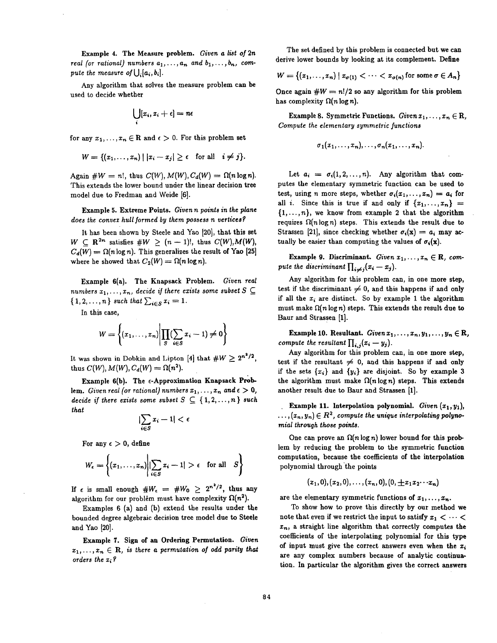Example 4. The Measure problem. *Given a list of 2n real (or rational) numbers*  $a_1, \ldots, a_n$  and  $b_1, \ldots, b_n$ , com*pute the measure of*  $\bigcup_i [a_i, b_i]$ .

Any algorithm that solves the measure problem can be used to decide whether

$$
\bigcup_i [x_i, x_i + \epsilon] = n\epsilon
$$

for any  $x_1, \ldots, x_n \in \mathbb{R}$  and  $\epsilon > 0$ . For this problem set

$$
W = \{(x_1, \ldots, x_n) \mid |x_i - x_j| \geq \epsilon \text{ for all } i \neq j\}.
$$

Again  $\#W = n!$ , thus  $C(W)$ ,  $M(W)$ ,  $C_d(W) = \Omega(n \log n)$ . This extends the lower bound under the linear decision tree model due to Fredman and Weide [6].

Example 5. Extreme Points. *Given n points in the plane*  does the convex hull formed by them possess n vertices?

It has been shown by Steele and Yao [20], that this set  $W \subset \mathbb{R}^{2n}$  satisfies  $\#W \geq (n-1)!$ , thus  $C(W), M(W)$ ,  $C_d(W) = \Omega(n \log n)$ . This generalizes the result of Yao [25] where he showed that  $C_2(W) = \Omega(n \log n)$ .

Example 6(a). The Knapsack Problem. *Given real numbers*  $x_1, \ldots, x_n$ , decide if there exists some subset  $S \subseteq$  $\{1, 2, ..., n\}$  *such that*  $\sum_{i \in S} x_i = 1$ .

In this case,

$$
W = \left\{ (x_1, \ldots, x_n) \middle| \prod_{S} (\sum_{i \in S} x_i - 1) \neq 0 \right\}
$$

It was shown in Dobkin and Lipton [4] that  $\#W \geq 2^{n^2/2}$ , thus  $C(W)$ ,  $M(W)$ ,  $C_d(W) = \Omega(n^2)$ .

Example 6(b). The  $\epsilon$ -Approximation Knapsack Problem. *Given real (or rational) numbers*  $x_1, \ldots, x_n$  and  $\epsilon > 0$ , *decide if there exists some subset*  $S \subseteq \{1, 2, ..., n\}$  *such that* 

$$
|\sum_{i\in S} x_i-1|<\epsilon
$$

For any  $\epsilon > 0$ , define

$$
W_{\epsilon} = \left\{ (x_1, \ldots, x_n) \middle| \sum_{i \in S} x_i - 1 \middle| > \epsilon \quad \text{for all} \quad S \right\}
$$

If  $\epsilon$  is small enough  $#W_{\epsilon} = #W_0 \geq 2^{n^2/2}$ , thus any algorithm for our problem must have complexity  $\Omega(n^2)$ .

Examples 6 (a) and (b) extend the results under the bounded degree algebraic decision tree model due to Steele and Yao [20].

Example 7. Sign of an Ordering Permutation. *Given*   $x_1, \ldots, x_n \in \mathbb{R}$ , is there a permutation of odd parity that *orders the* zi ?

The set defined by this problem is connected but we can derive lower bounds by looking at its complement. Define

$$
W = \{(x_1, \ldots, x_n) \mid x_{\sigma(1)} < \cdots < x_{\sigma(n)} \text{ for some } \sigma \in A_n\}
$$

Once again  $\#W = n!/2$  so any algorithm for this problem has complexity  $\Omega(n \log n)$ .

Example 8. Symmetric Functions. *Given*  $x_1, \ldots, x_n \in \mathbb{R}$ , *Compute the elementary symmetric functions* 

$$
\sigma_1(x_1,\ldots,x_n),\ldots,\sigma_n(x_1,\ldots,x_n).
$$

Let  $a_i = \sigma_i(1, 2, ..., n)$ . Any algorithm that computes the elementary symmetric function can be used to test, using n more steps, whether  $\sigma_i(x_1,..., x_n) = a_i$  for all i. Since this is true if and only if  $\{x_1, \ldots, x_n\}$  =  $\{1,\ldots,n\}$ , we know from example 2 that the algorithm requires  $\Omega(n \log n)$  steps. This extends the result due to Strassen [21], since checking whether  $\sigma_i(\mathbf{x}) = a_i$  may actually be easier than computing the values of  $\sigma_i(\mathbf{x})$ .

Example 9. Discriminant. *Given*  $x_1, \ldots, x_n \in \mathbb{R}$ , com*pute the discriminant*  $\prod_{i \neq j} (x_i - x_j)$ .

Any algorithm for this problem can, in one more step, test if the discriminant  $\neq 0$ , and this happens if and only if all the  $x_i$  are distinct. So by example 1 the algorithm must make  $\Omega(n \log n)$  steps. This extends the result due to Baur and Strassen [1].

Example 10. Resultant. *Given*  $x_1, \ldots, x_n, y_1, \ldots, y_n \in \mathbb{R}$ , *compute the resultant*  $\prod_{i,j}(x_i - y_j)$ .

Any algorithm for this problem can, in one more step, test if the resultant  $\neq$  0, and this happens if and only if the sets  $\{x_i\}$  and  $\{y_i\}$  are disjoint. So by example 3 the algorithm must make  $\Omega(n \log n)$  steps. This extends another result due to Baur and Strassen [1].

Example 11. Interpolation polynomial. *Given*  $(x_1, y_1)$ ,  $\dots, (x_n, y_n) \in R^2$ , compute the unique interpolating polyno*mial through those points.* 

One can prove an  $\Omega(n \log n)$  lower bound for this problem by reducing the problem to the symmetric function computation, because the coefficients of the interpolation polynomial through the points

$$
(x_1,0),(x_2,0),\ldots,(x_n,0),(0,\pm x_1x_2\cdots x_n)
$$

are the elementary symmetric functions of  $x_1, \ldots, x_n$ .

**To show how to prove this directly by our method we**  note that even if we restrict the input to satisfy  $x_1 < \cdots <$  $x_n$ , a straight line algorithm that correctly computes the coefficients of the interpolating polynomial for this type of input must give the correct answers even when the  $x_i$ are any complex numbers because of analytic continuation. In particular the algorithm gives the correct answers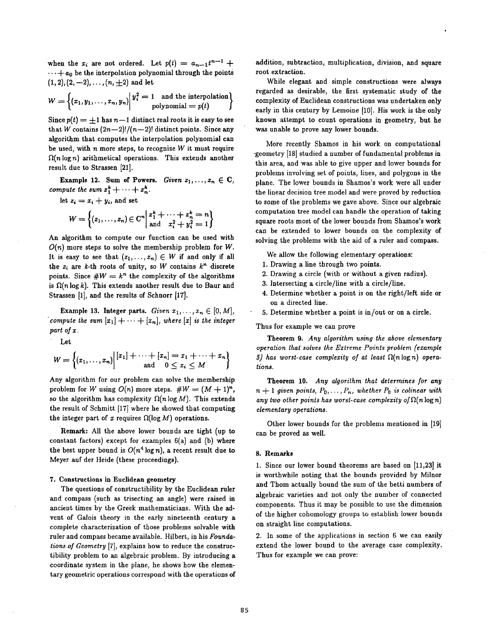when the  $x_i$  are not ordered. Let  $p(t) = a_{n-1}t^{n-1} + q$  $\cdots$  +  $a_0$  be the interpolation polynomial through the points  $(1, 2), (2, -2), \ldots, (n, \pm 2)$  and let

$$
W = \left\{ (x_1, y_1, \ldots, x_n, y_n) \middle| \begin{matrix} y_i^2 = 1 & \text{and the interpolation} \\ \text{polynomial} = p(t) \end{matrix} \right\}
$$

Since  $p(t) = \pm 1$  has  $n-1$  distinct real roots it is easy to see that W contains  $(2n-2)!/(n-2)!$  distinct points. Since any algorithm that computes the interpolation polynomial can be used, with  $n$  more steps, to recognize  $W$  it must require  $\Omega(n \log n)$  arithmetical operations. This extends another result due to Strassen [21].

**Example 12.** Sum of Powers. *Given*  $z_1, \ldots, z_n \in \mathbb{C}$ , *compute the sum*  $z_1^k + \cdots + z_n^k$ .

let 
$$
z_i = x_i + y_i
$$
, and set  
\n
$$
W = \begin{cases} (z_1, ..., z_n) \in \mathbb{C}^n \Big| \begin{matrix} z_1^k + \cdots + z_n^k = n \\ \text{and} \quad x_i^2 + y_i^2 = 1 \end{matrix} \end{cases}
$$

An algorithm to compute our function can be used with  $O(n)$  more steps to solve the membership problem for W. It is easy to see that  $(z_1, \ldots, z_n) \in W$  if and only if all the  $z_i$  are k-th roots of unity, so W contains  $k^n$  discrete points. Since  $\#W = k^n$  the complexity of the algorithms is  $\Omega(n \log k)$ . This extends another result due to Baur and Strassen [1], and the results of Schnorr [17].

Example 13. Integer parts. *Given*  $x_1, \ldots, x_n \in [0, M]$ , *compute the sum*  $[x_1] + \cdots + [x_n]$ , where  $[x]$  *is the integer part of x.* 

Let

$$
W = \left\{ (x_1, \ldots, x_n) \middle| \begin{bmatrix} x_1 \end{bmatrix} + \cdots + \begin{bmatrix} x_n \end{bmatrix} = x_1 + \cdots + x_n \right\}
$$
 and  $0 \le x_i \le M$ 

Any algorithm for our problem can solve the membership problem for W using  $O(n)$  more steps.  $\#W = (M + 1)^n$ , so the algorithm has complexity  $\Omega(n \log M)$ . This extends the result of Schmitt [17] where he showed that computing the integer part of x requires  $\Omega(\log M)$  operations.

**Remark:** All the above lower bounds are tight (up to constant factors) except for examples 6(a) and (b) where the best upper bound is  $O(n^4 \log n)$ , a recent result due to Meyer anf der Heide (these proceedings).

### 7. Constructions in Euclidean **geometry**

The questions of constructibility by the Euclidean ruler and compass (such as trisecting an angle) were raised in ancient times by the Greek mathematicians. With the advent of Galois theory in the early nineteenth century a complete characterization of those problems solvable with ruler and compass became available. Hilbert, in his *Foundations of Geometry* [7], explains how to reduce the construetibility problem to an algebraic problem. By introducing a coordinate system in the plane, he shows how the elementary geometric operations correspond with the operations of addition, subtraction, multiplication, division, and square root extraction.

While elegant and simple constructions were always regarded as desirable, the first systematic study of the complexity of Euclidean constructions was undertaken only early in this century by Lemoine [10]. His work is the only known attempt to count operations in geometry, but he was unable to prove any lower bounds.

More recently Shamos in his work on computational -geometry [18] studied a number of fundamental problems in this area, and was able to give upper and lower bounds for problems involving set of points, lines, and polygons in the plane. The lower bounds in Shamos's work were all under the linear decision tree model and were proved by reduction to some of the problems we gave above. Since our algebraic computation tree model can handle the operation of taking square roots most of the lower bounds from Shamos's work can be extended to lower bounds on the complexity of solving the problems with the aid of a ruler and compass.

We allow the following elementary operations:

- 1. Drawing a line through two points.
- 2. Drawing a circle (with or without a given radius).
- 3. Intersecting a circle/line with a circle/line.
- 4. Determine whether a point is on the right/left side or on a directed line.
- 5. Determine whether a point is in/out or on a circle.

Thus for example we can prove

**Theorem** 9. *Any algorithm using the above elementary operation that solves the Extreme Points problem (example 5) has worst-case complexity of at least fl(nlogn) operations.* 

**Theorem** 10. *Any algorithm that determines for any*   $n+1$  given points,  $P_0, \ldots, P_n$ , whether  $P_0$  is colinear with *any two other points has worst-case complexity of*  $\Omega(n \log n)$ *elementary operations.* 

Other lower bounds for the problems mentioned in [19] can be proved as well.

#### **8. Remarks**

1. Since our lower bound theorems are based on [11,23] it is worthwhile noting that the bounds provided by Miinor and Thom actually bound the sum of the betti numbers of algebraic varieties and not only the number of connected components. Thus it may be possible to use the dimension of the higher cohomology groups to establish lower bounds on straight line computations.

2. In some of the applications in section 6 we can easily extend the lower bound to the average case complexity. Thus for example we can prove: